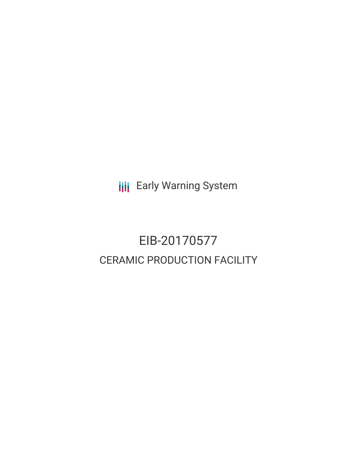**III** Early Warning System

# EIB-20170577 CERAMIC PRODUCTION FACILITY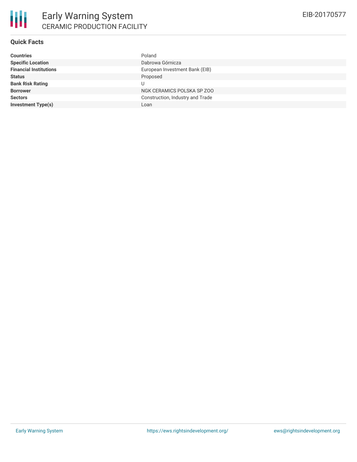#### **Quick Facts**

| <b>Countries</b>              | Poland                           |
|-------------------------------|----------------------------------|
| <b>Specific Location</b>      | Dabrowa Górnicza                 |
| <b>Financial Institutions</b> | European Investment Bank (EIB)   |
| <b>Status</b>                 | Proposed                         |
| <b>Bank Risk Rating</b>       |                                  |
| <b>Borrower</b>               | NGK CERAMICS POLSKA SP ZOO       |
| <b>Sectors</b>                | Construction, Industry and Trade |
| <b>Investment Type(s)</b>     | Loan                             |
|                               |                                  |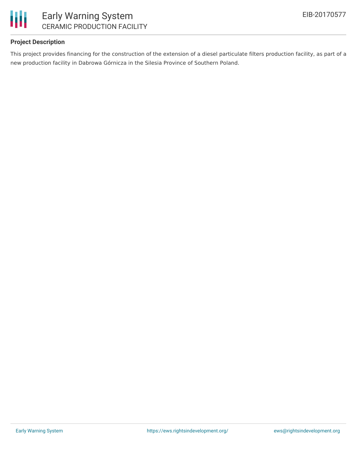

#### **Project Description**

This project provides financing for the construction of the extension of a diesel particulate filters production facility, as part of a new production facility in Dabrowa Górnicza in the Silesia Province of Southern Poland.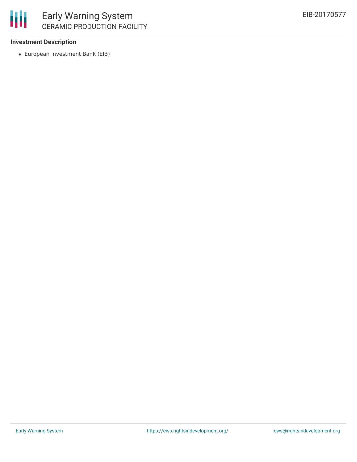#### **Investment Description**

European Investment Bank (EIB)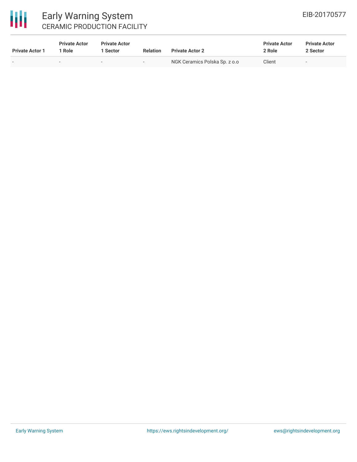

## Early Warning System CERAMIC PRODUCTION FACILITY

| <b>Private Actor 1</b> | <b>Private Actor</b><br>l Role. | <b>Private Actor</b><br>1 Sector | <b>Relation</b>          | <b>Private Actor 2</b>        | <b>Private Actor</b><br>2 Role | <b>Private Actor</b><br>2 Sector |  |
|------------------------|---------------------------------|----------------------------------|--------------------------|-------------------------------|--------------------------------|----------------------------------|--|
|                        |                                 | $\overline{\phantom{0}}$         | $\overline{\phantom{0}}$ | NGK Ceramics Polska Sp. z o.o | Client                         | $\overline{\phantom{0}}$         |  |